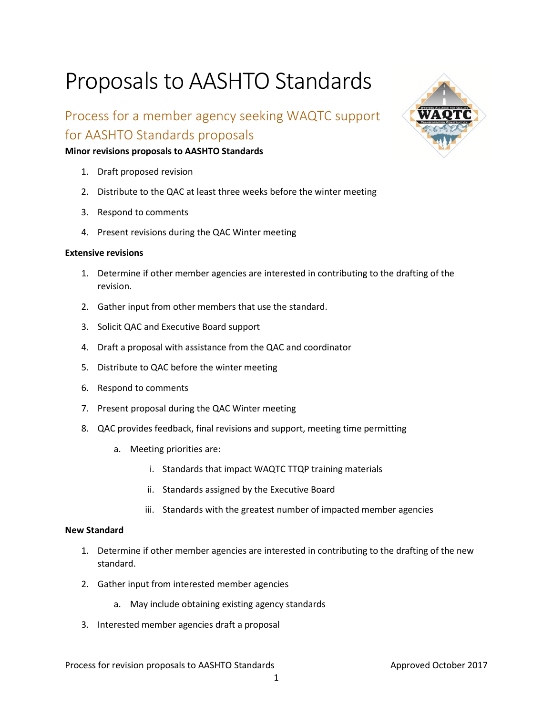# Proposals to AASHTO Standards

# Process for a member agency seeking WAQTC support for AASHTO Standards proposals

# **Minor revisions proposals to AASHTO Standards**

- 1. Draft proposed revision
- 2. Distribute to the QAC at least three weeks before the winter meeting
- 3. Respond to comments
- 4. Present revisions during the QAC Winter meeting

#### **Extensive revisions**

- 1. Determine if other member agencies are interested in contributing to the drafting of the revision.
- 2. Gather input from other members that use the standard.
- 3. Solicit QAC and Executive Board support
- 4. Draft a proposal with assistance from the QAC and coordinator
- 5. Distribute to QAC before the winter meeting
- 6. Respond to comments
- 7. Present proposal during the QAC Winter meeting
- 8. QAC provides feedback, final revisions and support, meeting time permitting
	- a. Meeting priorities are:
		- i. Standards that impact WAQTC TTQP training materials
		- ii. Standards assigned by the Executive Board
		- iii. Standards with the greatest number of impacted member agencies

# **New Standard**

- 1. Determine if other member agencies are interested in contributing to the drafting of the new standard.
- 2. Gather input from interested member agencies
	- a. May include obtaining existing agency standards
- 3. Interested member agencies draft a proposal